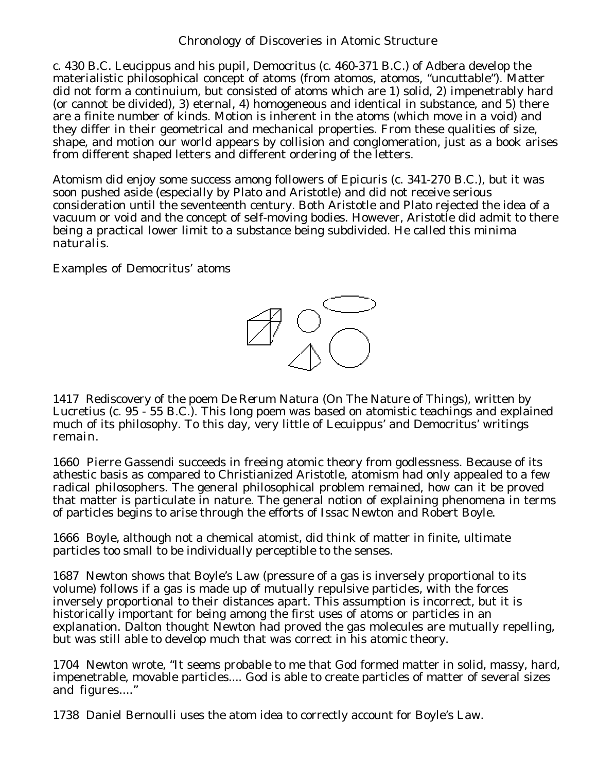c. 430 B.C. Leucippus and his pupil, Democritus (c. 460-371 B.C.) of Adbera develop the materialistic philosophical concept of atoms (from atomos, atomos, "uncuttable"). Matter did not form a continuium, but consisted of atoms which are 1) solid, 2) impenetrably hard (or cannot be divided), 3) eternal, 4) homogeneous and identical in substance, and 5) there are a finite number of kinds. Motion is inherent in the atoms (which move in a void) and they differ in their geometrical and mechanical properties. From these qualities of size, shape, and motion our world appears by collision and conglomeration, just as a book arises from different shaped letters and different ordering of the letters.

Atomism did enjoy some success among followers of Epicuris (c. 341-270 B.C.), but it was soon pushed aside (especially by Plato and Aristotle) and did not receive serious consideration until the seventeenth century. Both Aristotle and Plato rejected the idea of a vacuum or void and the concept of self-moving bodies. However, Aristotle did admit to there being a practical lower limit to a substance being subdivided. He called this *minima naturalis*.

Examples of Democritus' atoms



1417 Rediscovery of the poem *De Rerum Natura* (On The Nature of Things), written by Lucretius (c. 95 - 55 B.C.). This long poem was based on atomistic teachings and explained much of its philosophy. To this day, very little of Lecuippus' and Democritus' writings remain.

1660 Pierre Gassendi succeeds in freeing atomic theory from godlessness. Because of its athestic basis as compared to Christianized Aristotle, atomism had only appealed to a few radical philosophers. The general philosophical problem remained, how can it be proved that matter is particulate in nature. The general notion of explaining phenomena in terms of particles begins to arise through the efforts of Issac Newton and Robert Boyle.

1666 Boyle, although not a chemical atomist, did think of matter in finite, ultimate particles too small to be individually perceptible to the senses.

1687 Newton shows that Boyle's Law (pressure of a gas is inversely proportional to its volume) follows if a gas is made up of mutually repulsive particles, with the forces inversely proportional to their distances apart. This assumption is incorrect, but it is historically important for being among the first uses of atoms or particles in an explanation. Dalton thought Newton had proved the gas molecules are mutually repelling, but was still able to develop much that was correct in his atomic theory.

1704 Newton wrote, "It seems probable to me that God formed matter in solid, massy, hard, impenetrable, movable particles.... God is able to create particles of matter of several sizes and figures...."

1738 Daniel Bernoulli uses the atom idea to correctly account for Boyle's Law.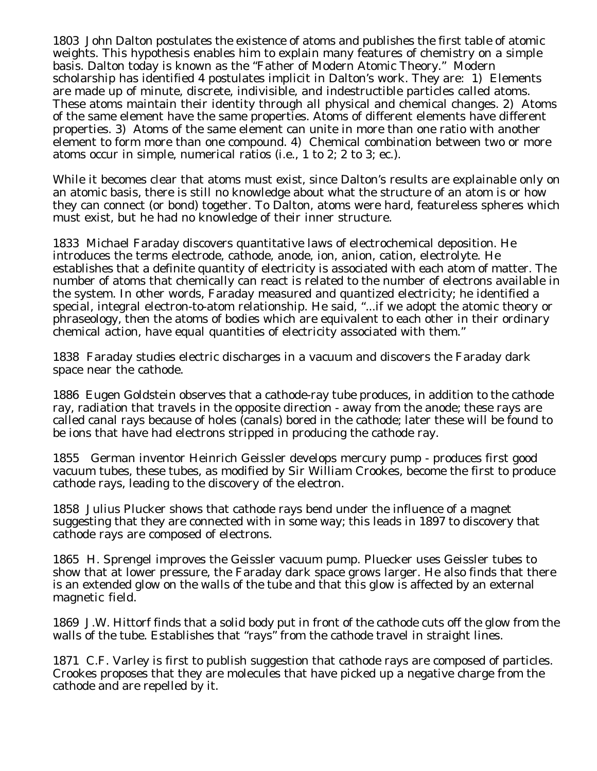1803 John Dalton postulates the existence of atoms and publishes the first table of atomic weights. This hypothesis enables him to explain many features of chemistry on a simple basis. Dalton today is known as the "Father of Modern Atomic Theory." Modern scholarship has identified 4 postulates implicit in Dalton's work. They are: 1) Elements are made up of minute, discrete, indivisible, and indestructible particles called atoms. These atoms maintain their identity through all physical and chemical changes. 2) Atoms of the same element have the same properties. Atoms of different elements have different properties. 3) Atoms of the same element can unite in more than one ratio with another element to form more than one compound. 4) Chemical combination between two or more atoms occur in simple, numerical ratios (i.e., 1 to 2; 2 to 3; ec.).

While it becomes clear that atoms must exist, since Dalton's results are explainable only on an atomic basis, there is still no knowledge about what the structure of an atom is or how they can connect (or bond) together. To Dalton, atoms were hard, featureless spheres which must exist, but he had no knowledge of their inner structure.

1833 Michael Faraday discovers quantitative laws of electrochemical deposition. He introduces the terms electrode, cathode, anode, ion, anion, cation, electrolyte. He establishes that a definite quantity of electricity is associated with each atom of matter. The number of atoms that chemically can react is related to the number of electrons available in the system. In other words, Faraday measured and quantized electricity; he identified a special, integral electron-to-atom relationship. He said, "...if we adopt the atomic theory or phraseology, then the atoms of bodies which are equivalent to each other in their ordinary chemical action, have equal quantities of electricity associated with them."

1838 Faraday studies electric discharges in a vacuum and discovers the Faraday dark space near the cathode.

1886 Eugen Goldstein observes that a cathode-ray tube produces, in addition to the cathode ray, radiation that travels in the opposite direction - away from the anode; these rays are called canal rays because of holes (canals) bored in the cathode; later these will be found to be ions that have had electrons stripped in producing the cathode ray.

1855 German inventor Heinrich Geissler develops mercury pump - produces first good vacuum tubes, these tubes, as modified by Sir William Crookes, become the first to produce cathode rays, leading to the discovery of the electron.

1858 Julius Plucker shows that cathode rays bend under the influence of a magnet suggesting that they are connected with in some way; this leads in 1897 to discovery that cathode rays are composed of electrons.

1865 H. Sprengel improves the Geissler vacuum pump. Pluecker uses Geissler tubes to show that at lower pressure, the Faraday dark space grows larger. He also finds that there is an extended glow on the walls of the tube and that this glow is affected by an external magnetic field.

1869 J.W. Hittorf finds that a solid body put in front of the cathode cuts off the glow from the walls of the tube. Establishes that "rays" from the cathode travel in straight lines.

1871 C.F. Varley is first to publish suggestion that cathode rays are composed of particles. Crookes proposes that they are molecules that have picked up a negative charge from the cathode and are repelled by it.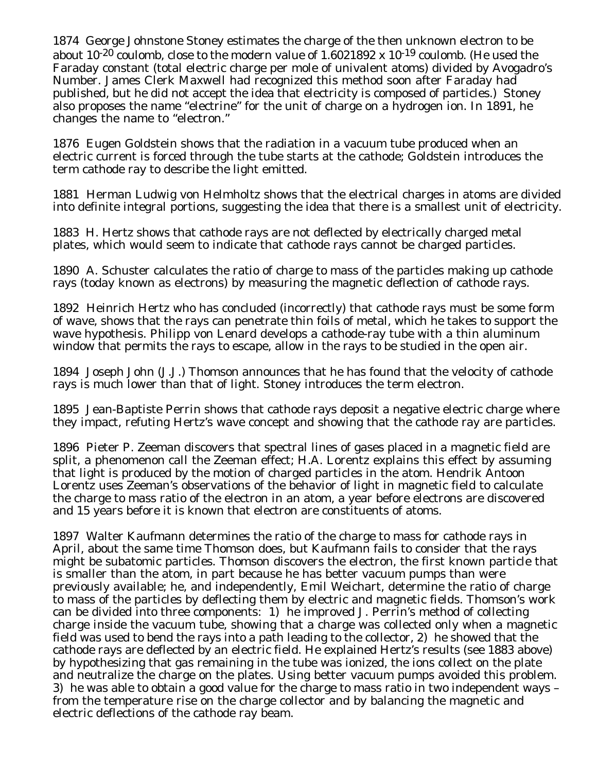1874 George Johnstone Stoney estimates the charge of the then unknown electron to be about 10<sup>-20</sup> coulomb, close to the modern value of 1.6021892 x 10<sup>-19</sup> coulomb. (He used the Faraday constant (total electric charge per mole of univalent atoms) divided by Avogadro's Number. James Clerk Maxwell had recognized this method soon after Faraday had published, but he did not accept the idea that electricity is composed of particles.) Stoney also proposes the name "electrine" for the unit of charge on a hydrogen ion. In 1891, he changes the name to "electron."

1876 Eugen Goldstein shows that the radiation in a vacuum tube produced when an electric current is forced through the tube starts at the cathode; Goldstein introduces the term cathode ray to describe the light emitted.

1881 Herman Ludwig von Helmholtz shows that the electrical charges in atoms are divided into definite integral portions, suggesting the idea that there is a smallest unit of electricity.

1883 H. Hertz shows that cathode rays are not deflected by electrically charged metal plates, which would seem to indicate that cathode rays cannot be charged particles.

1890 A. Schuster calculates the ratio of charge to mass of the particles making up cathode rays (today known as electrons) by measuring the magnetic deflection of cathode rays.

1892 Heinrich Hertz who has concluded (incorrectly) that cathode rays must be some form of wave, shows that the rays can penetrate thin foils of metal, which he takes to support the wave hypothesis. Philipp von Lenard develops a cathode-ray tube with a thin aluminum window that permits the rays to escape, allow in the rays to be studied in the open air.

1894 Joseph John (J.J.) Thomson announces that he has found that the velocity of cathode rays is much lower than that of light. Stoney introduces the term electron.

1895 Jean-Baptiste Perrin shows that cathode rays deposit a negative electric charge where they impact, refuting Hertz's wave concept and showing that the cathode ray are particles.

1896 Pieter P. Zeeman discovers that spectral lines of gases placed in a magnetic field are split, a phenomenon call the Zeeman effect; H.A. Lorentz explains this effect by assuming that light is produced by the motion of charged particles in the atom. Hendrik Antoon Lorentz uses Zeeman's observations of the behavior of light in magnetic field to calculate the charge to mass ratio of the electron in an atom, a year before electrons are discovered and 15 years before it is known that electron are constituents of atoms.

1897 Walter Kaufmann determines the ratio of the charge to mass for cathode rays in April, about the same time Thomson does, but Kaufmann fails to consider that the rays might be subatomic particles. Thomson discovers the electron, the first known particle that is smaller than the atom, in part because he has better vacuum pumps than were previously available; he, and independently, Emil Weichart, determine the ratio of charge to mass of the particles by deflecting them by electric and magnetic fields. Thomson's work can be divided into three components: 1) he improved J. Perrin's method of collecting charge inside the vacuum tube, showing that a charge was collected only when a magnetic field was used to bend the rays into a path leading to the collector, 2) he showed that the cathode rays are deflected by an electric field. He explained Hertz's results (see 1883 above) by hypothesizing that gas remaining in the tube was ionized, the ions collect on the plate and neutralize the charge on the plates. Using better vacuum pumps avoided this problem. 3) he was able to obtain a good value for the charge to mass ratio in two independent ways – from the temperature rise on the charge collector and by balancing the magnetic and electric deflections of the cathode ray beam.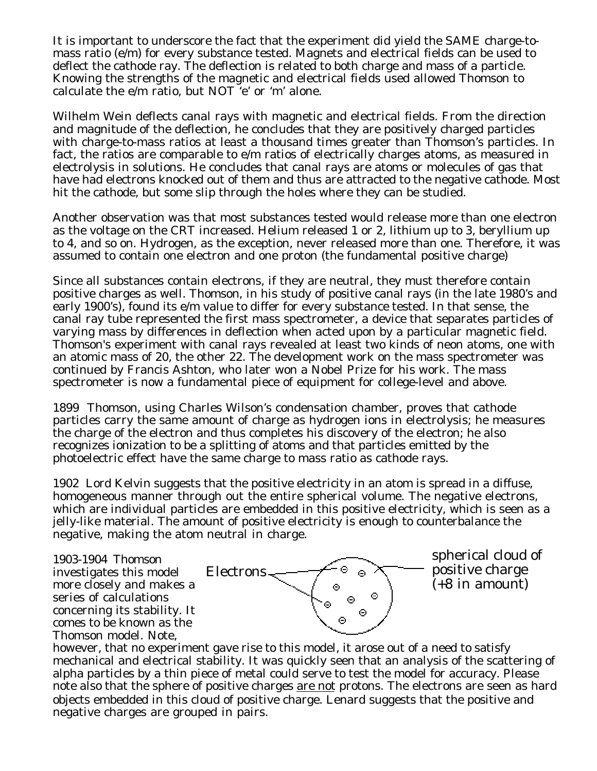It is important to underscore the fact that the experiment did yield the SAME charge-tomass ratio (e/m) for every substance tested. Magnets and electrical fields can be used to deflect the cathode ray. The deflection is related to both charge and mass of a particle. Knowing the strengths of the magnetic and electrical fields used allowed Thomson to calculate the e/m ratio, but NOT 'e' or 'm' alone.

Wilhelm Wein deflects canal rays with magnetic and electrical fields. From the direction and magnitude of the deflection, he concludes that they are positively charged particles with charge-to-mass ratios at least a thousand times greater than Thomson's particles. In fact, the ratios are comparable to e/m ratios of electrically charges atoms, as measured in electrolysis in solutions. He concludes that canal rays are atoms or molecules of gas that have had electrons knocked out of them and thus are attracted to the negative cathode. Most hit the cathode, but some slip through the holes where they can be studied.

Another observation was that most substances tested would release more than one electron as the voltage on the CRT increased. Helium released 1 or 2, lithium up to 3, beryllium up to 4, and so on. Hydrogen, as the exception, never released more than one. Therefore, it was assumed to contain one electron and one proton (the fundamental positive charge)

Since all substances contain electrons, if they are neutral, they must therefore contain positive charges as well. Thomson, in his study of positive canal rays (in the late 1980's and early 1900's), found its e/m value to differ for every substance tested. In that sense, the canal ray tube represented the first mass spectrometer, a device that separates particles of varying mass by differences in deflection when acted upon by a particular magnetic field. Thomson's experiment with canal rays revealed at least two kinds of neon atoms, one with an atomic mass of 20, the other 22. The development work on the mass spectrometer was continued by Francis Ashton, who later won a Nobel Prize for his work. The mass spectrometer is now a fundamental piece of equipment for college-level and above.

1899 Thomson, using Charles Wilson's condensation chamber, proves that cathode particles carry the same amount of charge as hydrogen ions in electrolysis; he measures the charge of the electron and thus completes his discovery of the electron; he also recognizes ionization to be a splitting of atoms and that particles emitted by the photoelectric effect have the same charge to mass ratio as cathode rays.

1902 Lord Kelvin suggests that the positive electricity in an atom is spread in a diffuse, homogeneous manner through out the entire spherical volume. The negative electrons, which are individual particles are embedded in this positive electricity, which is seen as a jelly-like material. The amount of positive electricity is enough to counterbalance the negative, making the atom neutral in charge.

1903-1904 Thomson investigates this model more closely and makes a series of calculations concerning its stability. It comes to be known as the Thomson model. Note,



spherical cloud of positive charge (+8 in amount)

however, that no experiment gave rise to this model, it arose out of a need to satisfy mechanical and electrical stability. It was quickly seen that an analysis of the scattering of alpha particles by a thin piece of metal could serve to test the model for accuracy. Please note also that the sphere of positive charges are not protons. The electrons are seen as hard objects embedded in this cloud of positive charge. Lenard suggests that the positive and negative charges are grouped in pairs.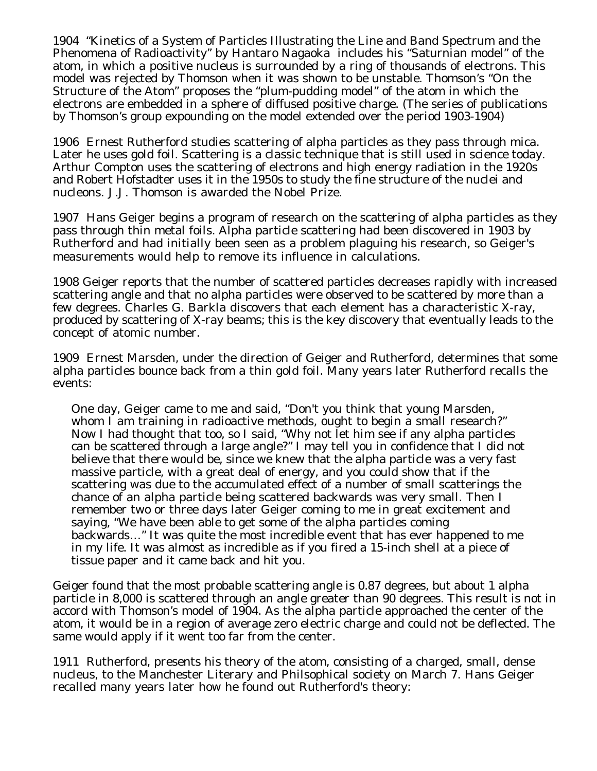1904 "Kinetics of a System of Particles Illustrating the Line and Band Spectrum and the Phenomena of Radioactivity" by Hantaro Nagaoka includes his "Saturnian model" of the atom, in which a positive nucleus is surrounded by a ring of thousands of electrons. This model was rejected by Thomson when it was shown to be unstable. Thomson's "On the Structure of the Atom" proposes the "plum-pudding model" of the atom in which the electrons are embedded in a sphere of diffused positive charge. (The series of publications by Thomson's group expounding on the model extended over the period 1903-1904)

1906 Ernest Rutherford studies scattering of alpha particles as they pass through mica. Later he uses gold foil. Scattering is a classic technique that is still used in science today. Arthur Compton uses the scattering of electrons and high energy radiation in the 1920s and Robert Hofstadter uses it in the 1950s to study the fine structure of the nuclei and nucleons. J.J. Thomson is awarded the Nobel Prize.

1907 Hans Geiger begins a program of research on the scattering of alpha particles as they pass through thin metal foils. Alpha particle scattering had been discovered in 1903 by Rutherford and had initially been seen as a problem plaguing his research, so Geiger's measurements would help to remove its influence in calculations.

1908 Geiger reports that the number of scattered particles decreases rapidly with increased scattering angle and that no alpha particles were observed to be scattered by more than a few degrees. Charles G. Barkla discovers that each element has a characteristic X-ray, produced by scattering of X-ray beams; this is the key discovery that eventually leads to the concept of atomic number.

1909 Ernest Marsden, under the direction of Geiger and Rutherford, determines that some alpha particles bounce back from a thin gold foil. Many years later Rutherford recalls the events:

One day, Geiger came to me and said, "Don't you think that young Marsden, whom I am training in radioactive methods, ought to begin a small research?" Now I had thought that too, so I said, "Why not let him see if any alpha particles can be scattered through a large angle?" I may tell you in confidence that I did not believe that there would be, since we knew that the alpha particle was a very fast massive particle, with a great deal of energy, and you could show that if the scattering was due to the accumulated effect of a number of small scatterings the chance of an alpha particle being scattered backwards was very small. Then I remember two or three days later Geiger coming to me in great excitement and saying, "We have been able to get some of the alpha particles coming backwards…" It was quite the most incredible event that has ever happened to me in my life. It was almost as incredible as if you fired a 15-inch shell at a piece of tissue paper and it came back and hit you.

Geiger found that the most probable scattering angle is 0.87 degrees, but about 1 alpha particle in 8,000 is scattered through an angle greater than 90 degrees. This result is not in accord with Thomson's model of 1904. As the alpha particle approached the center of the atom, it would be in a region of average zero electric charge and could not be deflected. The same would apply if it went too far from the center.

1911 Rutherford, presents his theory of the atom, consisting of a charged, small, dense nucleus, to the Manchester Literary and Philsophical society on March 7. Hans Geiger recalled many years later how he found out Rutherford's theory: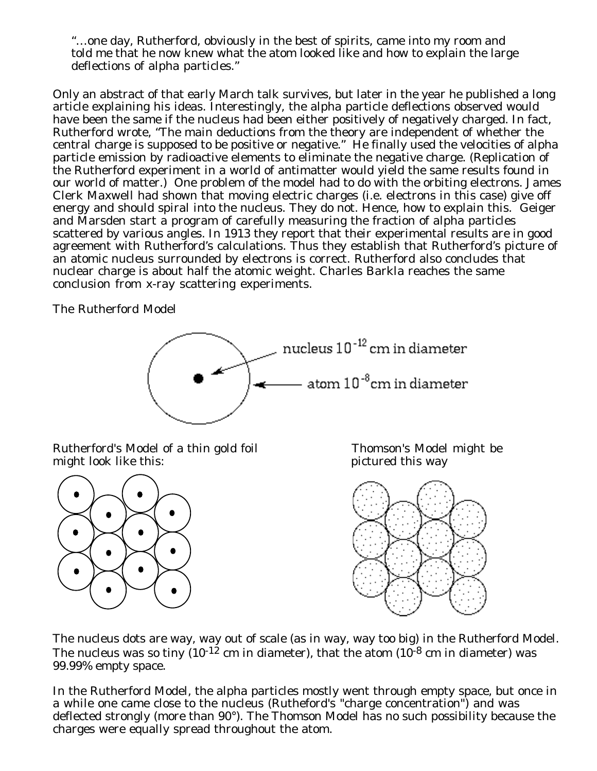"…one day, Rutherford, obviously in the best of spirits, came into my room and told me that he now knew what the atom looked like and how to explain the large deflections of alpha particles."

Only an abstract of that early March talk survives, but later in the year he published a long article explaining his ideas. Interestingly, the alpha particle deflections observed would have been the same if the nucleus had been either positively of negatively charged. In fact, Rutherford wrote, "The main deductions from the theory are independent of whether the central charge is supposed to be positive or negative." He finally used the velocities of alpha particle emission by radioactive elements to eliminate the negative charge. (Replication of the Rutherford experiment in a world of antimatter would yield the same results found in our world of matter.) One problem of the model had to do with the orbiting electrons. James Clerk Maxwell had shown that moving electric charges (i.e. electrons in this case) give off energy and should spiral into the nucleus. They do not. Hence, how to explain this. Geiger and Marsden start a program of carefully measuring the fraction of alpha particles scattered by various angles. In 1913 they report that their experimental results are in good agreement with Rutherford's calculations. Thus they establish that Rutherford's picture of an atomic nucleus surrounded by electrons is correct. Rutherford also concludes that nuclear charge is about half the atomic weight. Charles Barkla reaches the same conclusion from x-ray scattering experiments.

The Rutherford Model



Rutherford's Model of a thin gold foil Thomson's Model might be might book like this: might look like this:





The nucleus dots are way, way out of scale (as in way, way too big) in the Rutherford Model. The nucleus was so tiny  $(10^{-12} \text{ cm})$  in diameter), that the atom  $(10^{-8} \text{ cm})$  in diameter) was 99.99% empty space.

In the Rutherford Model, the alpha particles mostly went through empty space, but once in a while one came close to the nucleus (Rutheford's "charge concentration") and was deflected strongly (more than 90°). The Thomson Model has no such possibility because the charges were equally spread throughout the atom.